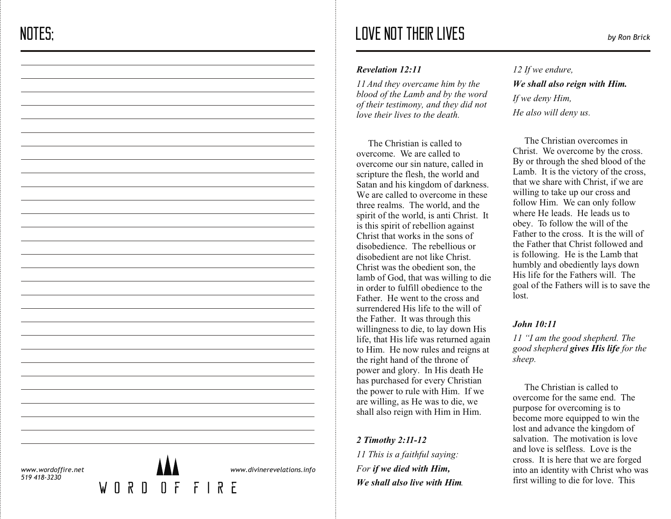# LOVE NOT THEIR LIVES *by Ron Brick*

#### *Revelation 12:11*

*11 And they overcame him by the blood of the Lamb and by the word of their testimony, and they did not love their lives to the death.*

The Christian is called to overcome. We are called to overcome our sin nature, called in scripture the flesh, the world and Satan and his kingdom of darkness. We are called to overcome in these three realms. The world, and the spirit of the world, is anti Christ. It is this spirit of rebellion against Christ that works in the sons of disobedience. The rebellious or disobedient are not like Christ. Christ was the obedient son, the lamb of God, that was willing to die in order to fulfill obedience to the Father. He went to the cross and surrendered His life to the will of the Father. It was through this willingness to die, to lay down His life, that His life was returned again to Him. He now rules and reigns at the right hand of the throne of power and glory. In His death He has purchased for every Christian the power to rule with Him. If we are willing, as He was to die, we shall also reign with Him in Him.

*2 Timothy 2:11-12 11 This is a faithful saying: For if we died with Him, We shall also live with Him.*

*12 If we endure, We shall also reign with Him. If we deny Him, He also will deny us.*

The Christian overcomes in Christ. We overcome by the cross. By or through the shed blood of the Lamb. It is the victory of the cross, that we share with Christ, if we are willing to take up our cross and follow Him. We can only follow where He leads. He leads us to obey. To follow the will of the Father to the cross. It is the will of the Father that Christ followed and is following. He is the Lamb that humbly and obediently lays down His life for the Fathers will. The goal of the Fathers will is to save the lost.

# *John 10:11*

*11 "I am the good shepherd. The good shepherd gives His life for the sheep.*

 The Christian is called to overcome for the same end. The purpose for overcoming is to become more equipped to win the lost and advance the kingdom of salvation. The motivation is love and love is selfless. Love is the cross. It is here that we are forged into an identity with Christ who was first willing to die for love. This

*www.wordoffire.net 519 418-3230*

 $\mathsf{M}$ 



*www.divinerevelations.info*